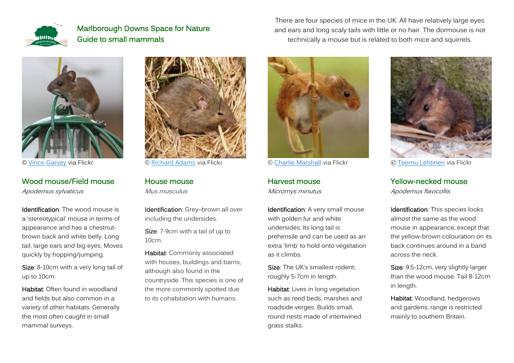



© Vince [Garvey](https://www.flickr.com/photos/baggieman/15487184869/in/photolist-pAxSuM-ajRoG2-SkpCwT-4Snm2m-ohJ9Ha-RCJhN1-Pih15J-4SnksG-5itkjr-WQY5vs-NgkVWb-5Haf77-2hWhrMB-fg89yY-qiHkiU-9mB2Sw-2fBvAXn-HYcwWV-6YsCgM-5ixAPA-2ajaraT-Muujcf-5ixAVA-5itkct-5ixAFY-pUW8Zf-KpHXAn-FFCRLh-anLJYz-p4UZGu-rqszSV-dKYAnb-22PxoPT-zmxG9X-2g4GQxW-atvnG7-8rADJk-oY4zuk-6PwaCZ-6PAgp3-KjBhGH-6PAhpA-9ek56J-6Pw9vH-EBmBKC-S9eE3k-25PMsLm-ZvS6qF-2g4GSEG-2dp5654) via Flickr

#### Wood mouse/Field mouse Apodemus sylvaticus

Identification: The wood mouse is a 'stereotypical' mouse in terms of appearance and has a chestnutbrown back and white belly. Long tail, large ears and big eyes. Moves quickly by hopping/jumping.

Size: 8-10cm with a very long tail of up to 10cm.

Habitat: Often found in woodland and fields but also common in a variety of other habitats. Generally the most often caught in small mammal surveys.



© [Richard Adams](https://www.flickr.com/photos/thenatureblog/4525990065/in/photolist-7TWTat-7U19v9-PSpJu4-7U18KE-i5xR5X-i5xTeW-GhE8oF-JcpNTL-6SgYYp-8MCSk3-6UgW8w-8zs1M8-gkNYTQ-6Sm229-PYaRnh-gkPhy6-gkPhDM-gkPhGH-gkNZcW-7jbnc-r7UbRU-BX8b7P-4uaqGB-BDrqNY-66ahE1-5dx1-664Ryn-7jbnA-wKyVv-mMHRp-955xJz-8qEFcQ-8qEF7w-gkPhdg-MK2fyC-JKdQkW-cG2V51-Yx5NFd-dyAk4D-22xJ7tG-2c9vRNJ-qS4Wy9-s872e1-KcMTRf-7ivBsb-7tzY9S-2hWhrMB-2gUKXur-8zs1yB-UuusCW) via Flickr

House mouse Mus musculus

Identification: Grey-brown all over including the undersides.

Size: 7-9cm with a tail of up to 10cm.

Habitat: Commonly associated with houses, buildings and barns, although also found in the countryside. This species is one of the more commonly spotted due to its cohabitation with humans.

There are four species of mice in the UK. All have relatively large eyes and ears and long scaly tails with little or no hair. The dormouse is not technically a mouse but is related to both mice and squirrels.



© [Charlie Marshall](https://www.flickr.com/photos/100915417@N07/49035626267/in/photolist-2hH7pjc-2htr41J-AHQqec-2igZcWn-wU1R5u-weBnBo-spFmDr-xbCy2R-qpJH4d-cir7Wj-hwb6s8-FY1wCP-hw9AYu-4YwNxv-a1WZEp-awqKvo-awnZXH-x9pK7W-2hwtNoT-BnamfE-9LiPpm-dMEUCy-awo56D-xcgAMx-rkcNZP-2gLauGL-8EwtoS-om9vUM-rnU57k-oEoURM-sZQqPi-LxC6Jh-AHbhsk-XaZMii-dMzez4-24cfCqd-awqNow-awo2iK-9bAcGr-awqFcL-G7RMwv-9bCXFu-xa56Lx-SG3V6W-nGGDr8-SG3V7h-CzRgw-9bzStc-8MzNqX-LtDiZw) via Flickr

Harvest mouse Micromys minutus

Identification: A very small mouse with golden fur and white undersides. Its long tail is prehensile and can be used as an extra 'limb' to hold onto vegetation as it climbs.

Size: The UK's smallest rodent: roughly 5-7cm in length.

Habitat: Lives in long vegetation such as reed beds, marshes and roadside verges. Builds small, round nests made of intertwined grass stalks.



© [Teemu Lehtinen](https://www.flickr.com/photos/deemu/3306910910/in/photolist-63dMpm) via Flickr

Yellow-necked mouse

Apodemus flavicollis

Identification: This species looks almost the same as the wood mouse in appearance, except that the yellow-brown colouration on its back continues around in a band across the neck.

Size: 9.5-12cm, very slightly larger than the wood mouse. Tail 8-12cm in length.

Habitat: Woodland, hedgerows and gardens; range is restricted mainly to southern Britain.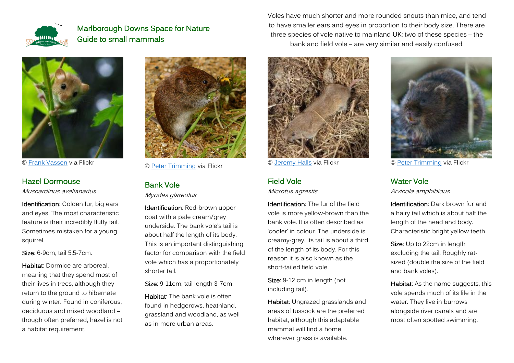



© [Frank Vassen](https://www.flickr.com/photos/42244964@N03/48236079657/in/photolist-2gusvXP) via Flickr

#### Hazel Dormouse

Muscardinus avellanarius

Identification: Golden fur, big ears and eyes. The most characteristic feature is their incredibly fluffy tail. Sometimes mistaken for a young squirrel.

Size: 6-9cm, tail 5.5-7cm.

Habitat: Dormice are arboreal, meaning that they spend most of their lives in trees, although they return to the ground to hibernate during winter. Found in coniferous, deciduous and mixed woodland – though often preferred, hazel is not a habitat requirement.



© [Peter Trimming](https://www.flickr.com/photos/peter-trimming/7100178657/in/photolist-bPTPmR-UrxvNk-qDrEsC-p3PF7w-UbkMBS-7Szy2C-23aG99J-26ycUrj-QQHa6o-zjeMQf-bPqgKp-dKSUsD-UbkMVh-gkKpWS-KvHz33-aFRnkT-9yt2LZ-kSiscX-2h2XRSE-8f3W7-bPpkjz-6dyLJM-ge5Jcp-6mFx18-8QKB4a-bAQrkN-bAQrrj-bAQrcQ-bGYfeP-bGYftr-bu4sxy-bAQrGS-bPK6eF-nf7Xa4-6jGV6Z-goZQE5-7ABQqG-5Tp1Uh-bPqgYx-bPTPsz-bAZaQb-bAZb95-7Ay4LF-bAD8Hw-7Ay4St-7ABQoY-7ABQtb-7ABQnd-bBhTMY-5TjGKi) via Flickr

# Bank Vole

Myodes glareolus

Identification: Red-brown upper coat with a pale cream/grey underside. The bank vole's tail is about half the length of its body. This is an important distinguishing factor for comparison with the field vole which has a proportionately shorter tail.

Size: 9-11cm, tail length 3-7cm.

Habitat: The bank vole is often found in hedgerows, heathland, grassland and woodland, as well as in more urban areas.

Voles have much shorter and more rounded snouts than mice, and tend to have smaller ears and eyes in proportion to their body size. There are three species of vole native to mainland UK: two of these species – the bank and field vole – are very similar and easily confused.



© [Jeremy Halls](https://www.flickr.com/photos/anax/33437298961/in/photolist-SWJU3v-2cC2BK2-QfwV5X-2izvcuW-f3MnD8) via Flickr

## Field Vole

Microtus agrestis

Identification: The fur of the field vole is more yellow-brown than the bank vole. It is often described as 'cooler' in colour. The underside is creamy-grey. Its tail is about a third of the length of its body. For this reason it is also known as the short-tailed field vole.

Size: 9-12 cm in length (not including tail).

Habitat: Ungrazed grasslands and areas of tussock are the preferred habitat, although this adaptable mammal will find a home wherever grass is available.



© [Peter Trimming](https://www.flickr.com/photos/peter-trimming/5888700182/in/photolist-9Yn8pu-6NeSFz-aaLHHm-aoPqdx-6Nj5nw-ao9p7Z-6jPDWH-6kGEAB-6k3sKB-6eirQN-6jTPcq-6kGFJn-5dfgRG-6jTPWb-6ef5g6-6jU4H1-6jP7zn-6k1K8P-6kGCh8-6jPBNe-5f8KRu-5gfuEh-5dg6f1-6jPRi2-6jPEGn-ajdGEZ-aaLc6w-6eiohj-9YhJhg-6eeckn-6jTgFo-6jP45k-6kLT5w-6eeg5Z-aj83FG-5gfuE9-6jPwwK-6kLVgE-bHr6at-5fweWB-6kGHHp-6kFZWz-6ejtP9-6ee3Ve-6kGGJP-6jU71A-6jTMLW-6k7dhC-5f4uCZ-6jPNvZ) via Flickr

## Water Vole

Arvicola amphibious

Identification: Dark brown fur and a hairy tail which is about half the length of the head and body. Characteristic bright yellow teeth.

Size: Up to 22cm in length excluding the tail. Roughly ratsized (double the size of the field and bank voles).

Habitat: As the name suggests, this vole spends much of its life in the water. They live in burrows alongside river canals and are most often spotted swimming.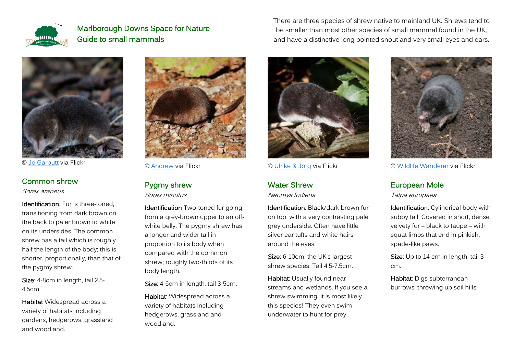

© [Jo Garbutt](http://flickr.com/photos/jo_garbutt/16494121146/in/photolist-r8wFz5-qdP8Tw) via Flickr

#### Common shrew

Sorex araneus

Identification: Fur is three-toned. transitioning from dark brown on the back to paler brown to white on its undersides. The common shrew has a tail which is roughly half the length of the body; this is shorter, proportionally, than that of the pygmy shrew.

Size: 4-8cm in length, tail 2.5- 4.5cm.

Habitat Widespread across a variety of habitats including gardens, hedgerows, grassland and woodland.



© [Andrew](https://www.flickr.com/photos/polandeze/941336142/in/photolist-2rbAFb-2rbAru-2rbATS) via Flickr

## Pygmy shrew

Sorex minutus

Identification Two-toned fur going from a grey-brown upper to an offwhite belly. The pygmy shrew has a longer and wider tail in proportion to its body when compared with the common shrew; roughly two-thirds of its body length.

Size: 4-6cm in length, tail 3-5cm.

Habitat: Widespread across a variety of habitats including hedgerows, grassland and woodland.



© [Ulrike & Jörg](https://www.flickr.com/photos/uli-joe/23850374390/in/photolist-Ckzpny-CYHgR8) via Flickr

### Water Shrew

Neomys fodiens

Identification: Black/dark brown fur on top, with a very contrasting pale grey underside. Often have little silver ear tufts and white hairs around the eyes.

Size: 6-10cm, the UK's largest shrew species. Tail 4.5-7.5cm.

Habitat: Usually found near streams and wetlands. If you see a shrew swimming, it is most likely this species! They even swim underwater to hunt for prey.



© [Wildlife Wanderer](https://www.flickr.com/photos/wildlifewanderer/18831245639/in/photolist-uG44fX-PhB2VX-uY2exS-uFVkfh-2hxcdDp-RBbGS6-Geze5i-5TXSKK-4copNn-2iFWtkc-2hD8DHf-2iEMsdq-2jcoPZx-2ijyjgQ-2emUKdL-2jGwzDS-2ifRWuh-2ioyJ2x-23A11XS-2gbGkmd-EijNSi-2iz2ocs-2hFYa3o-2gUCxh3-P76puf-EjVQbp-5cLUiS-2ge9nLe-CGBRpL-JfDaAS-2hbJx1x-EQ4Pf1-S769wg-2hzMGWq-2josxyh-2iwBqaM-CAHWaU-2iwKmGx-2hUVCLX-2iG6fXs-2hVYCqB-2jiBVVT-2iNUtcy-2gbHnDg-2geq6VV-2iCUMRb-BJNKGP-C24FYG-J2cfyz-eFwgYL) via Flickr

## European Mole

Talpa europaea

There are three species of shrew native to mainland UK. Shrews tend to be smaller than most other species of small mammal found in the UK, and have a distinctive long pointed snout and very small eyes and ears.

> Identification: Cylindrical body with subby tail. Covered in short, dense, velvety fur – black to taupe – with squat limbs that end in pinkish, spade-like paws.

Size: Up to 14 cm in length, tail 3 cm.

Habitat: Digs subterranean burrows, throwing up soil hills.